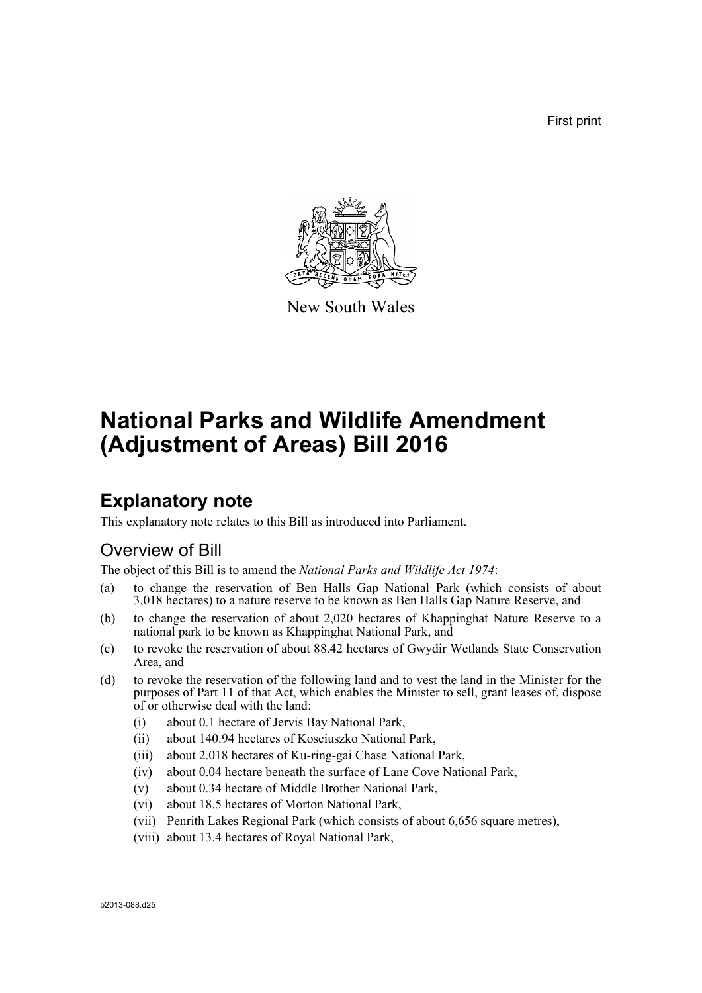First print



New South Wales

# **National Parks and Wildlife Amendment (Adjustment of Areas) Bill 2016**

## **Explanatory note**

This explanatory note relates to this Bill as introduced into Parliament.

### Overview of Bill

The object of this Bill is to amend the *National Parks and Wildlife Act 1974*:

- (a) to change the reservation of Ben Halls Gap National Park (which consists of about 3,018 hectares) to a nature reserve to be known as Ben Halls Gap Nature Reserve, and
- (b) to change the reservation of about 2,020 hectares of Khappinghat Nature Reserve to a national park to be known as Khappinghat National Park, and
- (c) to revoke the reservation of about 88.42 hectares of Gwydir Wetlands State Conservation Area, and
- (d) to revoke the reservation of the following land and to vest the land in the Minister for the purposes of Part 11 of that Act, which enables the Minister to sell, grant leases of, dispose of or otherwise deal with the land:
	- (i) about 0.1 hectare of Jervis Bay National Park,
	- (ii) about 140.94 hectares of Kosciuszko National Park,
	- (iii) about 2.018 hectares of Ku-ring-gai Chase National Park,
	- (iv) about 0.04 hectare beneath the surface of Lane Cove National Park,
	- (v) about 0.34 hectare of Middle Brother National Park,
	- (vi) about 18.5 hectares of Morton National Park,
	- (vii) Penrith Lakes Regional Park (which consists of about 6,656 square metres),
	- (viii) about 13.4 hectares of Royal National Park,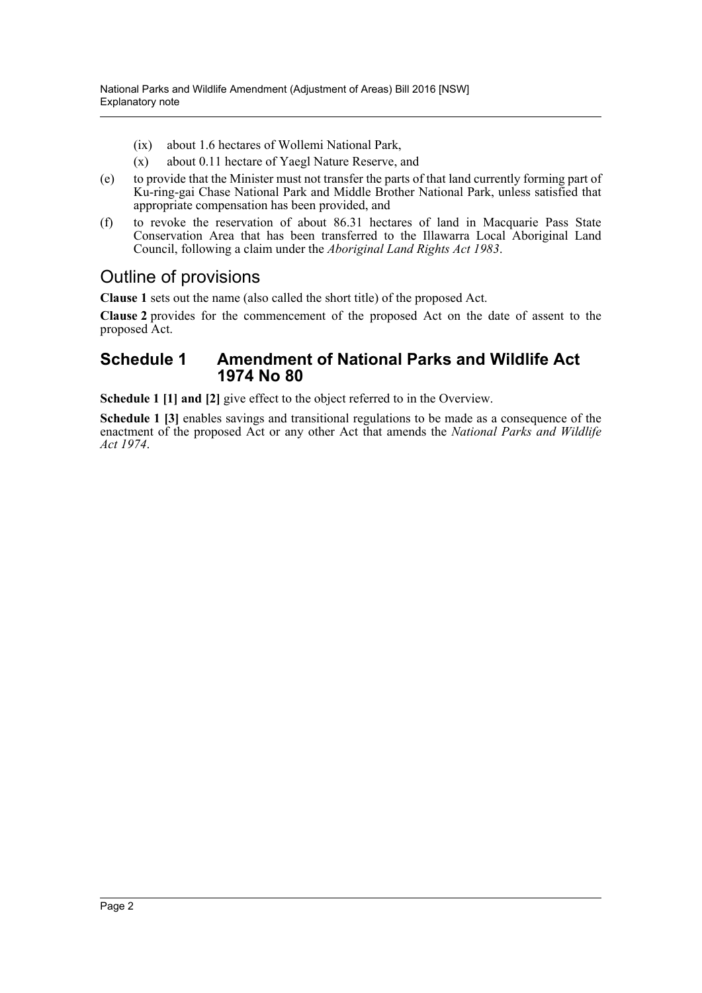- (ix) about 1.6 hectares of Wollemi National Park,
- (x) about 0.11 hectare of Yaegl Nature Reserve, and
- (e) to provide that the Minister must not transfer the parts of that land currently forming part of Ku-ring-gai Chase National Park and Middle Brother National Park, unless satisfied that appropriate compensation has been provided, and
- (f) to revoke the reservation of about 86.31 hectares of land in Macquarie Pass State Conservation Area that has been transferred to the Illawarra Local Aboriginal Land Council, following a claim under the *Aboriginal Land Rights Act 1983*.

### Outline of provisions

**Clause 1** sets out the name (also called the short title) of the proposed Act.

**Clause 2** provides for the commencement of the proposed Act on the date of assent to the proposed Act.

#### **Schedule 1 Amendment of National Parks and Wildlife Act 1974 No 80**

**Schedule 1 [1] and [2]** give effect to the object referred to in the Overview.

**Schedule 1 [3]** enables savings and transitional regulations to be made as a consequence of the enactment of the proposed Act or any other Act that amends the *National Parks and Wildlife Act 1974*.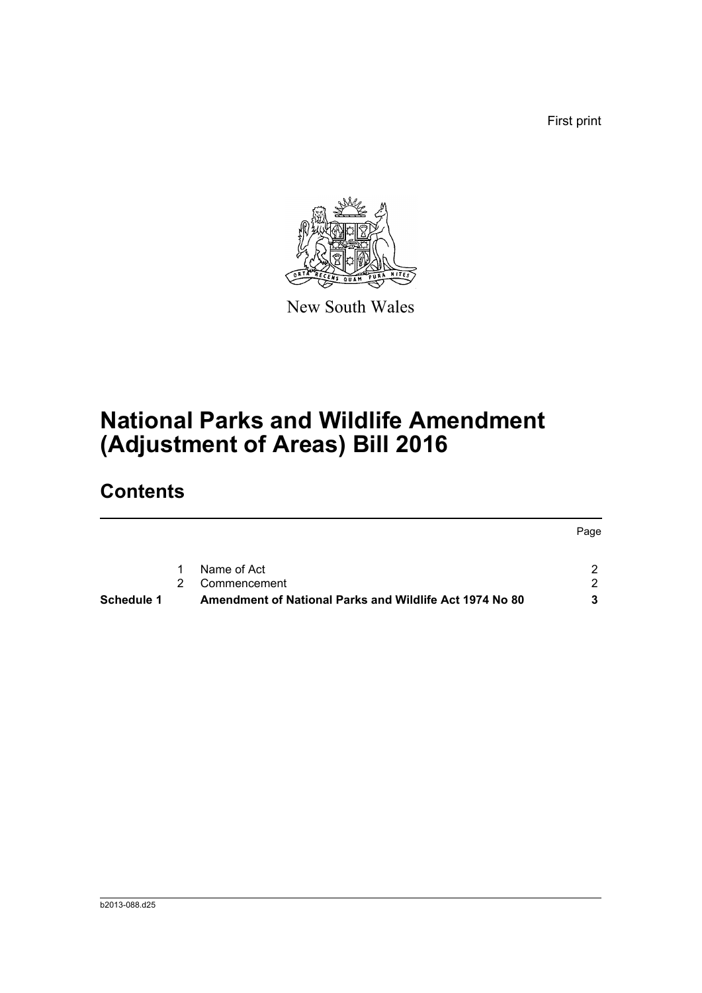First print



New South Wales

# **National Parks and Wildlife Amendment (Adjustment of Areas) Bill 2016**

## **Contents**

|            |                                                         | Page |
|------------|---------------------------------------------------------|------|
|            | 1 Name of Act                                           |      |
|            | 2 Commencement                                          |      |
| Schedule 1 | Amendment of National Parks and Wildlife Act 1974 No 80 | 3    |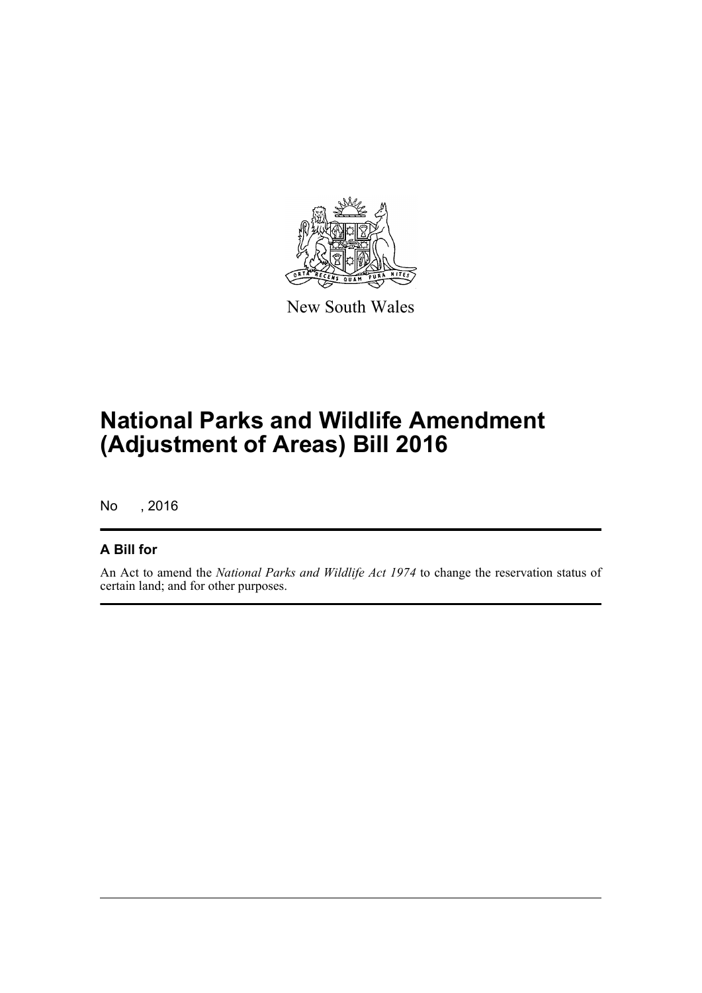

New South Wales

# **National Parks and Wildlife Amendment (Adjustment of Areas) Bill 2016**

No , 2016

#### **A Bill for**

An Act to amend the *National Parks and Wildlife Act 1974* to change the reservation status of certain land; and for other purposes.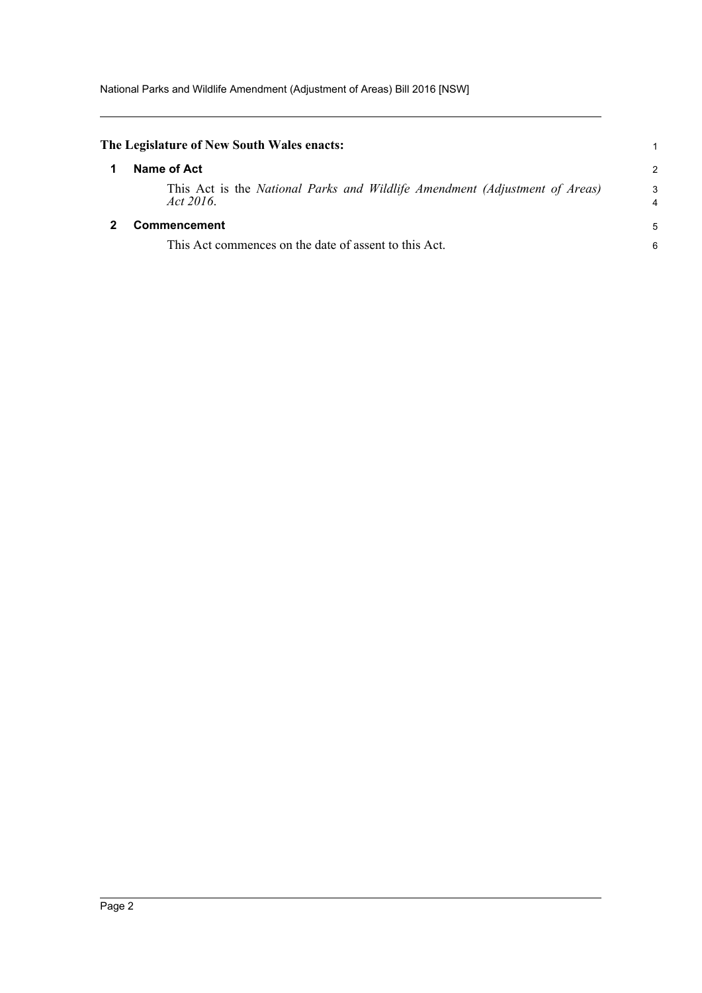<span id="page-4-1"></span><span id="page-4-0"></span>

| The Legislature of New South Wales enacts:                                               |               |
|------------------------------------------------------------------------------------------|---------------|
| Name of Act                                                                              | $\mathcal{P}$ |
| This Act is the National Parks and Wildlife Amendment (Adjustment of Areas)<br>Act 2016. | 3             |
| <b>Commencement</b>                                                                      | 5             |
| This Act commences on the date of assent to this Act.                                    | 6             |
|                                                                                          |               |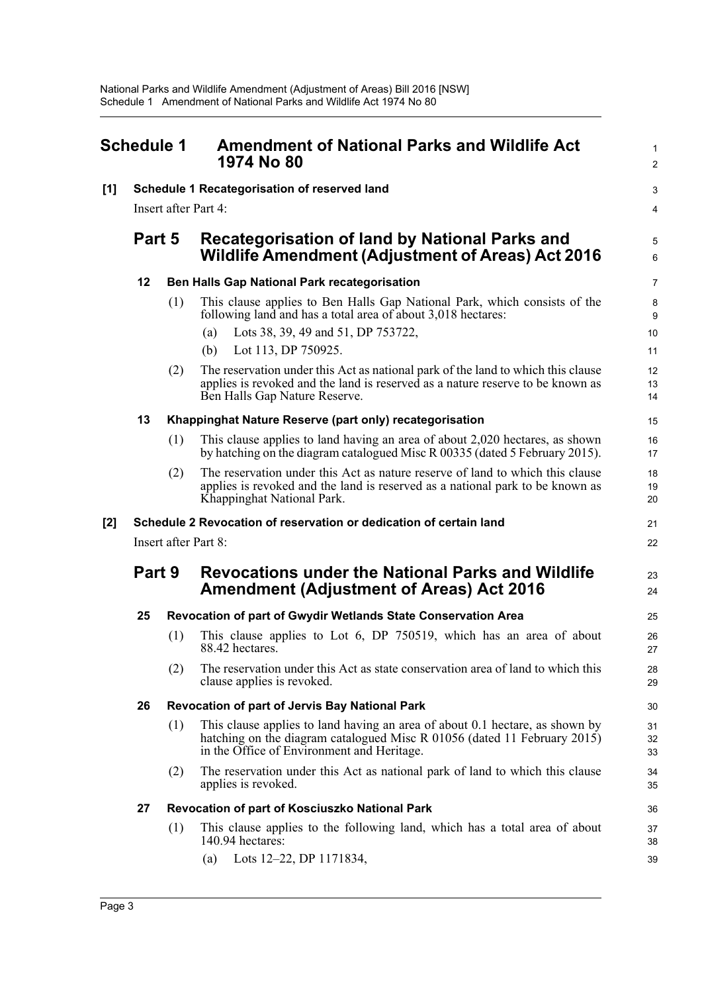<span id="page-5-0"></span>

| <b>Schedule 1</b> |                                                                    |                                              | <b>Amendment of National Parks and Wildlife Act</b><br>1974 No 80                                                                                                                                      |                           |  |  |
|-------------------|--------------------------------------------------------------------|----------------------------------------------|--------------------------------------------------------------------------------------------------------------------------------------------------------------------------------------------------------|---------------------------|--|--|
| $[1]$             |                                                                    | Schedule 1 Recategorisation of reserved land |                                                                                                                                                                                                        |                           |  |  |
|                   | Insert after Part 4:                                               |                                              |                                                                                                                                                                                                        |                           |  |  |
|                   | Part 5                                                             |                                              | Recategorisation of land by National Parks and<br>Wildlife Amendment (Adjustment of Areas) Act 2016                                                                                                    | $\overline{5}$<br>$\,6\,$ |  |  |
|                   | 12                                                                 |                                              | Ben Halls Gap National Park recategorisation                                                                                                                                                           | $\overline{7}$            |  |  |
|                   |                                                                    | (1)                                          | This clause applies to Ben Halls Gap National Park, which consists of the<br>following land and has a total area of about 3,018 hectares:<br>Lots 38, 39, 49 and 51, DP 753722,<br>(a)                 | 8<br>9<br>10              |  |  |
|                   |                                                                    |                                              | Lot 113, DP 750925.<br>(b)                                                                                                                                                                             | 11                        |  |  |
|                   |                                                                    | (2)                                          | The reservation under this Act as national park of the land to which this clause<br>applies is revoked and the land is reserved as a nature reserve to be known as<br>Ben Halls Gap Nature Reserve.    | 12<br>13<br>14            |  |  |
|                   | 13                                                                 |                                              | Khappinghat Nature Reserve (part only) recategorisation                                                                                                                                                | 15                        |  |  |
|                   |                                                                    | (1)                                          | This clause applies to land having an area of about 2,020 hectares, as shown<br>by hatching on the diagram catalogued Misc R 00335 (dated 5 February 2015).                                            | 16<br>17                  |  |  |
|                   |                                                                    | (2)                                          | The reservation under this Act as nature reserve of land to which this clause<br>applies is revoked and the land is reserved as a national park to be known as<br>Khappinghat National Park.           | 18<br>19<br>20            |  |  |
| $[2]$             | Schedule 2 Revocation of reservation or dedication of certain land |                                              |                                                                                                                                                                                                        |                           |  |  |
|                   | Insert after Part 8:                                               |                                              |                                                                                                                                                                                                        |                           |  |  |
|                   | Part 9                                                             |                                              | <b>Revocations under the National Parks and Wildlife</b><br><b>Amendment (Adjustment of Areas) Act 2016</b>                                                                                            | 23<br>24                  |  |  |
|                   | 25                                                                 |                                              | Revocation of part of Gwydir Wetlands State Conservation Area                                                                                                                                          | 25                        |  |  |
|                   |                                                                    | (1)                                          | This clause applies to Lot 6, DP 750519, which has an area of about<br>88.42 hectares.                                                                                                                 | 26<br>27                  |  |  |
|                   |                                                                    | (2)                                          | The reservation under this Act as state conservation area of land to which this<br>clause applies is revoked.                                                                                          | 28<br>29                  |  |  |
|                   | 26                                                                 |                                              | Revocation of part of Jervis Bay National Park                                                                                                                                                         | 30                        |  |  |
|                   |                                                                    | (1)                                          | This clause applies to land having an area of about 0.1 hectare, as shown by<br>hatching on the diagram catalogued Misc R 01056 (dated 11 February 2015)<br>in the Office of Environment and Heritage. | 31<br>32<br>33            |  |  |
|                   |                                                                    | (2)                                          | The reservation under this Act as national park of land to which this clause<br>applies is revoked.                                                                                                    | 34<br>35                  |  |  |
|                   | 27                                                                 |                                              | Revocation of part of Kosciuszko National Park                                                                                                                                                         | 36                        |  |  |
|                   |                                                                    | (1)                                          | This clause applies to the following land, which has a total area of about<br>140.94 hectares:                                                                                                         | 37<br>38                  |  |  |
|                   |                                                                    |                                              | (a) Lots $12-22$ , DP 1171834,                                                                                                                                                                         | 39                        |  |  |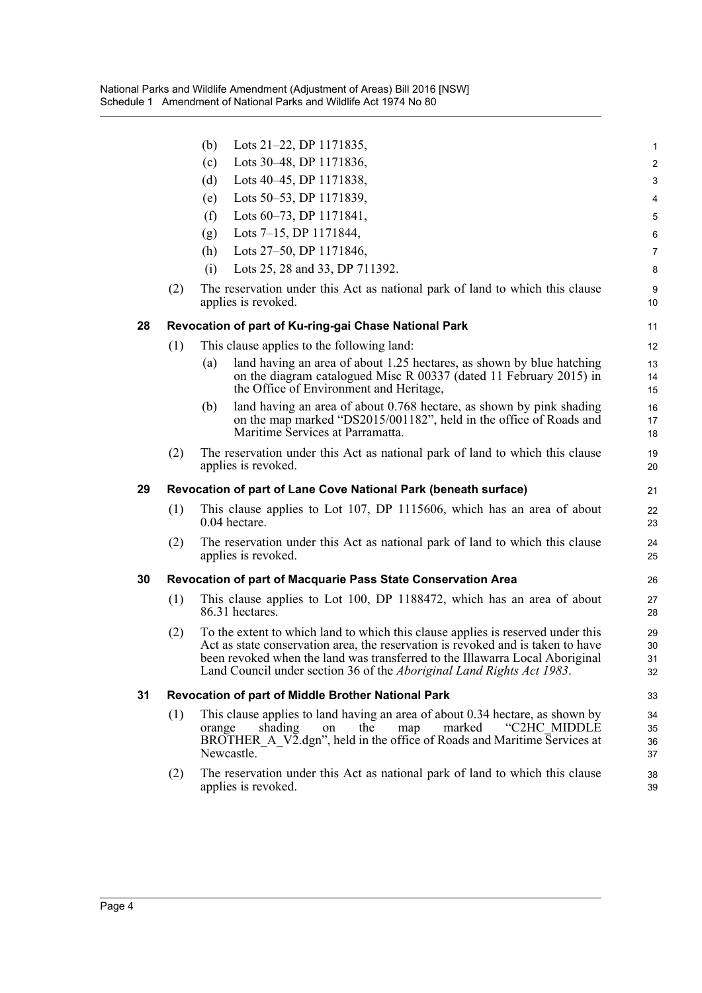|    |                                                                     | (b)<br>Lots 21–22, DP 1171835,                                                                                                                                                                                                                                                                                              | $\mathbf{1}$            |
|----|---------------------------------------------------------------------|-----------------------------------------------------------------------------------------------------------------------------------------------------------------------------------------------------------------------------------------------------------------------------------------------------------------------------|-------------------------|
|    |                                                                     | Lots 30–48, DP 1171836,<br>(c)                                                                                                                                                                                                                                                                                              | $\overline{\mathbf{c}}$ |
|    |                                                                     | (d)<br>Lots 40–45, DP 1171838,                                                                                                                                                                                                                                                                                              | 3                       |
|    |                                                                     | Lots 50–53, DP 1171839,<br>(e)                                                                                                                                                                                                                                                                                              | 4                       |
|    |                                                                     | Lots 60–73, DP 1171841,<br>(f)                                                                                                                                                                                                                                                                                              | 5                       |
|    |                                                                     | Lots 7–15, DP 1171844,<br>(g)                                                                                                                                                                                                                                                                                               | 6                       |
|    |                                                                     | Lots 27–50, DP 1171846,<br>(h)                                                                                                                                                                                                                                                                                              | $\overline{7}$          |
|    |                                                                     | Lots 25, 28 and 33, DP 711392.<br>(i)                                                                                                                                                                                                                                                                                       | 8                       |
|    | (2)                                                                 | The reservation under this Act as national park of land to which this clause<br>applies is revoked.                                                                                                                                                                                                                         | $\boldsymbol{9}$<br>10  |
| 28 |                                                                     | Revocation of part of Ku-ring-gai Chase National Park                                                                                                                                                                                                                                                                       | 11                      |
|    | (1)                                                                 | This clause applies to the following land:                                                                                                                                                                                                                                                                                  | 12                      |
|    |                                                                     | land having an area of about 1.25 hectares, as shown by blue hatching<br>(a)<br>on the diagram catalogued Misc R 00337 (dated 11 February 2015) in<br>the Office of Environment and Heritage,                                                                                                                               | 13<br>14<br>15          |
|    |                                                                     | land having an area of about 0.768 hectare, as shown by pink shading<br>(b)<br>on the map marked "DS2015/001182", held in the office of Roads and<br>Maritime Services at Parramatta.                                                                                                                                       | 16<br>17<br>18          |
|    | (2)                                                                 | The reservation under this Act as national park of land to which this clause<br>applies is revoked.                                                                                                                                                                                                                         | 19<br>20                |
| 29 |                                                                     | Revocation of part of Lane Cove National Park (beneath surface)                                                                                                                                                                                                                                                             | 21                      |
|    | (1)                                                                 | This clause applies to Lot 107, DP 1115606, which has an area of about<br>0.04 hectare.                                                                                                                                                                                                                                     | 22<br>23                |
|    | (2)                                                                 | The reservation under this Act as national park of land to which this clause<br>applies is revoked.                                                                                                                                                                                                                         | 24<br>25                |
| 30 | <b>Revocation of part of Macquarie Pass State Conservation Area</b> |                                                                                                                                                                                                                                                                                                                             |                         |
|    | (1)                                                                 | This clause applies to Lot 100, DP 1188472, which has an area of about<br>86.31 hectares.                                                                                                                                                                                                                                   | 27<br>28                |
|    | (2)                                                                 | To the extent to which land to which this clause applies is reserved under this<br>Act as state conservation area, the reservation is revoked and is taken to have<br>been revoked when the land was transferred to the Illawarra Local Aboriginal<br>Land Council under section 36 of the Aboriginal Land Rights Act 1983. | 29<br>30<br>31<br>32    |
| 31 | <b>Revocation of part of Middle Brother National Park</b>           |                                                                                                                                                                                                                                                                                                                             |                         |
|    | (1)                                                                 | This clause applies to land having an area of about 0.34 hectare, as shown by<br>the<br>map<br>marked<br>"C2HC MIDDLE<br>shading<br>orange<br>on<br>BROTHER A V2.dgn", held in the office of Roads and Maritime Services at<br>Newcastle.                                                                                   | 34<br>35<br>36<br>37    |
|    | (2)                                                                 | The reservation under this Act as national park of land to which this clause<br>applies is revoked.                                                                                                                                                                                                                         | 38<br>39                |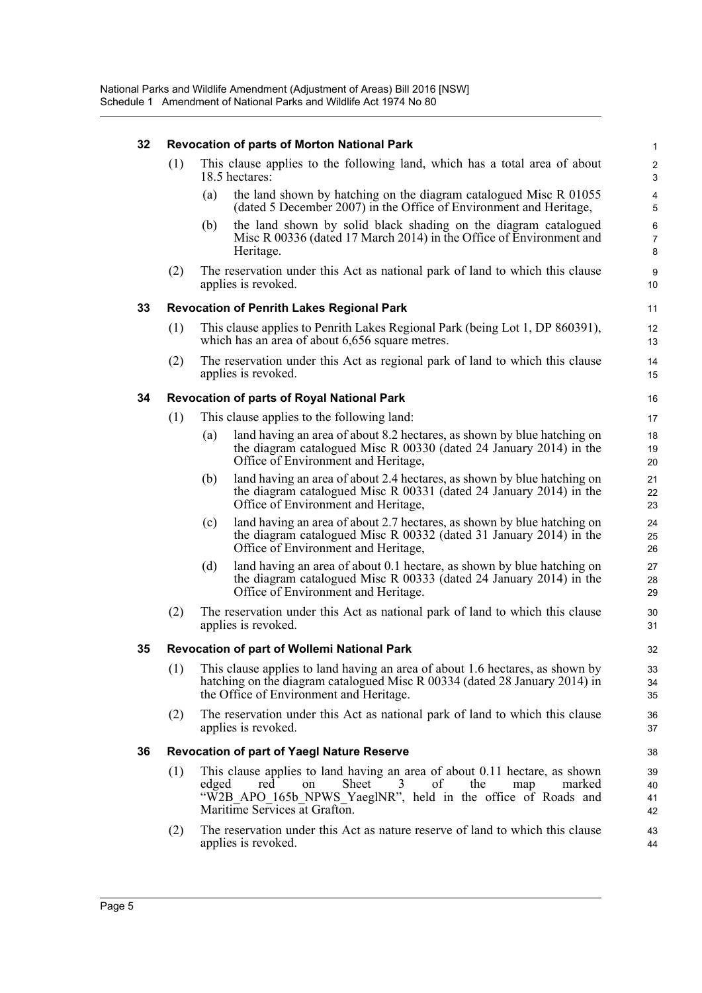| 32 |     |       | <b>Revocation of parts of Morton National Park</b>                                                                                                                                                                                   | $\mathbf{1}$                 |
|----|-----|-------|--------------------------------------------------------------------------------------------------------------------------------------------------------------------------------------------------------------------------------------|------------------------------|
|    | (1) |       | This clause applies to the following land, which has a total area of about<br>18.5 hectares:                                                                                                                                         | $\overline{c}$<br>3          |
|    |     | (a)   | the land shown by hatching on the diagram catalogued Misc R 01055<br>(dated 5 December 2007) in the Office of Environment and Heritage,                                                                                              | $\overline{\mathbf{4}}$<br>5 |
|    |     | (b)   | the land shown by solid black shading on the diagram catalogued<br>Misc R 00336 (dated 17 March 2014) in the Office of Environment and<br>Heritage.                                                                                  | 6<br>$\overline{7}$<br>8     |
|    | (2) |       | The reservation under this Act as national park of land to which this clause<br>applies is revoked.                                                                                                                                  | 9<br>10                      |
| 33 |     |       | <b>Revocation of Penrith Lakes Regional Park</b>                                                                                                                                                                                     | 11                           |
|    | (1) |       | This clause applies to Penrith Lakes Regional Park (being Lot 1, DP 860391),<br>which has an area of about 6,656 square metres.                                                                                                      | 12<br>13                     |
|    | (2) |       | The reservation under this Act as regional park of land to which this clause<br>applies is revoked.                                                                                                                                  | 14<br>15                     |
| 34 |     |       | Revocation of parts of Royal National Park                                                                                                                                                                                           | 16                           |
|    | (1) |       | This clause applies to the following land:                                                                                                                                                                                           | 17                           |
|    |     | (a)   | land having an area of about 8.2 hectares, as shown by blue hatching on<br>the diagram catalogued Misc R 00330 (dated 24 January 2014) in the<br>Office of Environment and Heritage,                                                 | 18<br>19<br>20               |
|    |     | (b)   | land having an area of about 2.4 hectares, as shown by blue hatching on<br>the diagram catalogued Misc R 00331 (dated 24 January 2014) in the<br>Office of Environment and Heritage,                                                 | 21<br>22<br>23               |
|    |     | (c)   | land having an area of about 2.7 hectares, as shown by blue hatching on<br>the diagram catalogued Misc R 00332 (dated 31 January 2014) in the<br>Office of Environment and Heritage,                                                 | 24<br>25<br>26               |
|    |     | (d)   | land having an area of about 0.1 hectare, as shown by blue hatching on<br>the diagram catalogued Misc R 00333 (dated 24 January 2014) in the<br>Office of Environment and Heritage.                                                  | 27<br>28<br>29               |
|    | (2) |       | The reservation under this Act as national park of land to which this clause<br>applies is revoked.                                                                                                                                  | 30<br>31                     |
| 35 |     |       | <b>Revocation of part of Wollemi National Park</b>                                                                                                                                                                                   | 32                           |
|    | (1) |       | This clause applies to land having an area of about 1.6 hectares, as shown by<br>hatching on the diagram catalogued Misc R 00334 (dated 28 January 2014) in<br>the Office of Environment and Heritage.                               | 33<br>34<br>35               |
|    | (2) |       | The reservation under this Act as national park of land to which this clause<br>applies is revoked.                                                                                                                                  | 36<br>$37\,$                 |
| 36 |     |       | <b>Revocation of part of Yaegl Nature Reserve</b>                                                                                                                                                                                    | 38                           |
|    | (1) | edged | This clause applies to land having an area of about 0.11 hectare, as shown<br>Sheet<br>of<br>the<br>3<br>map<br>red<br>on<br>marked<br>"W2B APO 165b NPWS YaeglNR", held in the office of Roads and<br>Maritime Services at Grafton. | 39<br>40<br>41<br>42         |
|    | (2) |       | The reservation under this Act as nature reserve of land to which this clause<br>applies is revoked.                                                                                                                                 | 43<br>44                     |